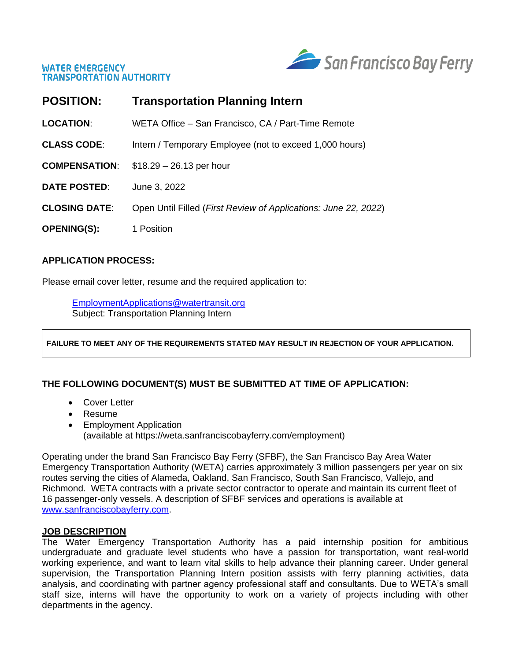



| <b>POSITION:</b>     | <b>Transportation Planning Intern</b>                                    |
|----------------------|--------------------------------------------------------------------------|
| <b>LOCATION:</b>     | WETA Office - San Francisco, CA / Part-Time Remote                       |
| <b>CLASS CODE:</b>   | Intern / Temporary Employee (not to exceed 1,000 hours)                  |
| <b>COMPENSATION:</b> | $$18.29 - 26.13$ per hour                                                |
| <b>DATE POSTED:</b>  | June 3, 2022                                                             |
| <b>CLOSING DATE:</b> | Open Until Filled ( <i>First Review of Applications: June 22, 2022</i> ) |
| <b>OPENING(S):</b>   | 1 Position                                                               |

### **APPLICATION PROCESS:**

Please email cover letter, resume and the required application to:

EmploymentApplications@watertransit.org Subject: Transportation Planning Intern

**FAILURE TO MEET ANY OF THE REQUIREMENTS STATED MAY RESULT IN REJECTION OF YOUR APPLICATION.**

# **THE FOLLOWING DOCUMENT(S) MUST BE SUBMITTED AT TIME OF APPLICATION:**

- Cover Letter
- Resume
- Employment Application (available at https://weta.sanfranciscobayferry.com/employment)

Operating under the brand San Francisco Bay Ferry (SFBF), the San Francisco Bay Area Water Emergency Transportation Authority (WETA) carries approximately 3 million passengers per year on six routes serving the cities of Alameda, Oakland, San Francisco, South San Francisco, Vallejo, and Richmond. WETA contracts with a private sector contractor to operate and maintain its current fleet of 16 passenger-only vessels. A description of SFBF services and operations is available at [www.sanfranciscobayferry.com.](http://www.sanfranciscobayferry.com/)

### **JOB DESCRIPTION**

The Water Emergency Transportation Authority has a paid internship position for ambitious undergraduate and graduate level students who have a passion for transportation, want real-world working experience, and want to learn vital skills to help advance their planning career. Under general supervision, the Transportation Planning Intern position assists with ferry planning activities, data analysis, and coordinating with partner agency professional staff and consultants. Due to WETA's small staff size, interns will have the opportunity to work on a variety of projects including with other departments in the agency.